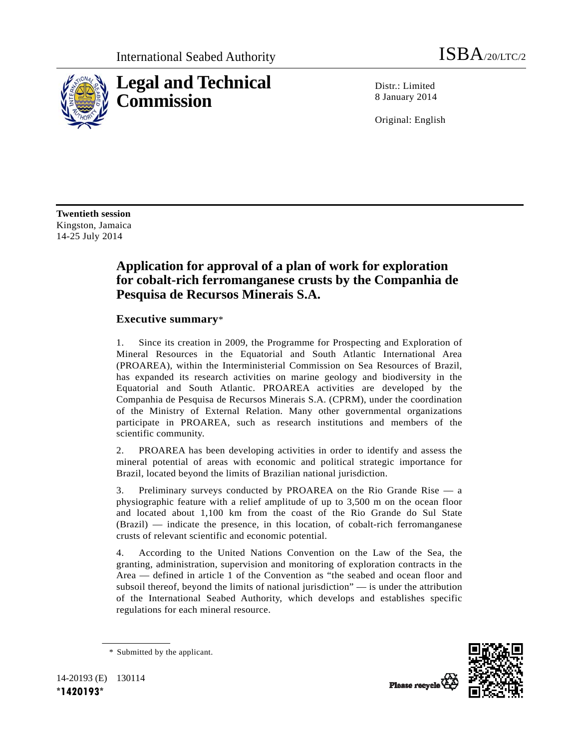

Distr · Limited 8 January 2014

Original: English

**Twentieth session**  Kingston, Jamaica 14-25 July 2014

## **Application for approval of a plan of work for exploration for cobalt-rich ferromanganese crusts by the Companhia de Pesquisa de Recursos Minerais S.A.**

## **Executive summary**\*

1. Since its creation in 2009, the Programme for Prospecting and Exploration of Mineral Resources in the Equatorial and South Atlantic International Area (PROAREA), within the Interministerial Commission on Sea Resources of Brazil, has expanded its research activities on marine geology and biodiversity in the Equatorial and South Atlantic. PROAREA activities are developed by the Companhia de Pesquisa de Recursos Minerais S.A. (CPRM), under the coordination of the Ministry of External Relation. Many other governmental organizations participate in PROAREA, such as research institutions and members of the scientific community.

2. PROAREA has been developing activities in order to identify and assess the mineral potential of areas with economic and political strategic importance for Brazil, located beyond the limits of Brazilian national jurisdiction.

3. Preliminary surveys conducted by PROAREA on the Rio Grande Rise — a physiographic feature with a relief amplitude of up to 3,500 m on the ocean floor and located about 1,100 km from the coast of the Rio Grande do Sul State (Brazil) — indicate the presence, in this location, of cobalt-rich ferromanganese crusts of relevant scientific and economic potential.

4. According to the United Nations Convention on the Law of the Sea, the granting, administration, supervision and monitoring of exploration contracts in the Area — defined in article 1 of the Convention as "the seabed and ocean floor and subsoil thereof, beyond the limits of national jurisdiction" — is under the attribution of the International Seabed Authority, which develops and establishes specific regulations for each mineral resource.



 <sup>\*</sup> Submitted by the applicant.